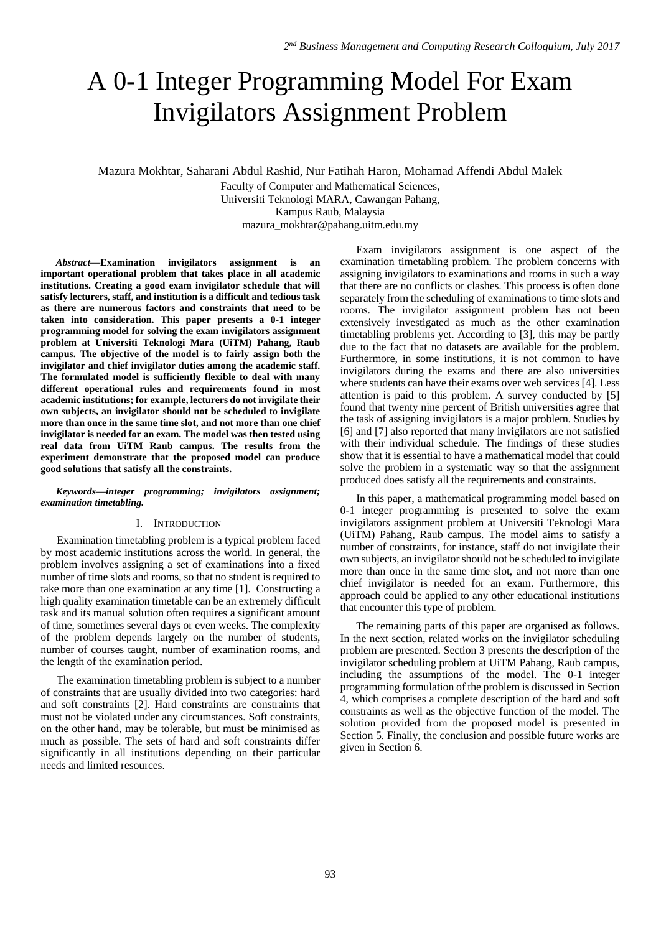# A 0-1 Integer Programming Model For Exam Invigilators Assignment Problem

Mazura Mokhtar, Saharani Abdul Rashid, Nur Fatihah Haron, Mohamad Affendi Abdul Malek

Faculty of Computer and Mathematical Sciences, Universiti Teknologi MARA, Cawangan Pahang, Kampus Raub, Malaysia

[mazura\\_mokhtar@pahang.uitm.edu.my](mailto:mazura_mokhtar@pahang.uitm.edu.my)

*Abstract***—Examination invigilators assignment is an important operational problem that takes place in all academic institutions. Creating a good exam invigilator schedule that will satisfy lecturers, staff, and institution is a difficult and tedious task as there are numerous factors and constraints that need to be taken into consideration. This paper presents a 0-1 integer programming model for solving the exam invigilators assignment problem at Universiti Teknologi Mara (UiTM) Pahang, Raub campus. The objective of the model is to fairly assign both the invigilator and chief invigilator duties among the academic staff. The formulated model is sufficiently flexible to deal with many different operational rules and requirements found in most academic institutions; for example, lecturers do not invigilate their own subjects, an invigilator should not be scheduled to invigilate more than once in the same time slot, and not more than one chief invigilator is needed for an exam. The model was then tested using real data from UiTM Raub campus. The results from the experiment demonstrate that the proposed model can produce good solutions that satisfy all the constraints.** 

*Keywords—integer programming; invigilators assignment; examination timetabling.*

#### I. INTRODUCTION

Examination timetabling problem is a typical problem faced by most academic institutions across the world. In general, the problem involves assigning a set of examinations into a fixed number of time slots and rooms, so that no student is required to take more than one examination at any time [1]. Constructing a high quality examination timetable can be an extremely difficult task and its manual solution often requires a significant amount of time, sometimes several days or even weeks. The complexity of the problem depends largely on the number of students, number of courses taught, number of examination rooms, and the length of the examination period.

The examination timetabling problem is subject to a number of constraints that are usually divided into two categories: hard and soft constraints [2]. Hard constraints are constraints that must not be violated under any circumstances. Soft constraints, on the other hand, may be tolerable, but must be minimised as much as possible. The sets of hard and soft constraints differ significantly in all institutions depending on their particular needs and limited resources.

Exam invigilators assignment is one aspect of the examination timetabling problem. The problem concerns with assigning invigilators to examinations and rooms in such a way that there are no conflicts or clashes. This process is often done separately from the scheduling of examinations to time slots and rooms. The invigilator assignment problem has not been extensively investigated as much as the other examination timetabling problems yet. According to [3], this may be partly due to the fact that no datasets are available for the problem. Furthermore, in some institutions, it is not common to have invigilators during the exams and there are also universities where students can have their exams over web services [4]. Less attention is paid to this problem. A survey conducted by [5] found that twenty nine percent of British universities agree that the task of assigning invigilators is a major problem. Studies by [6] and [7] also reported that many invigilators are not satisfied with their individual schedule. The findings of these studies show that it is essential to have a mathematical model that could solve the problem in a systematic way so that the assignment produced does satisfy all the requirements and constraints.

In this paper, a mathematical programming model based on 0-1 integer programming is presented to solve the exam invigilators assignment problem at Universiti Teknologi Mara (UiTM) Pahang, Raub campus. The model aims to satisfy a number of constraints, for instance, staff do not invigilate their own subjects, an invigilator should not be scheduled to invigilate more than once in the same time slot, and not more than one chief invigilator is needed for an exam. Furthermore, this approach could be applied to any other educational institutions that encounter this type of problem.

The remaining parts of this paper are organised as follows. In the next section, related works on the invigilator scheduling problem are presented. Section 3 presents the description of the invigilator scheduling problem at UiTM Pahang, Raub campus, including the assumptions of the model. The 0-1 integer programming formulation of the problem is discussed in Section 4, which comprises a complete description of the hard and soft constraints as well as the objective function of the model. The solution provided from the proposed model is presented in Section 5. Finally, the conclusion and possible future works are given in Section 6.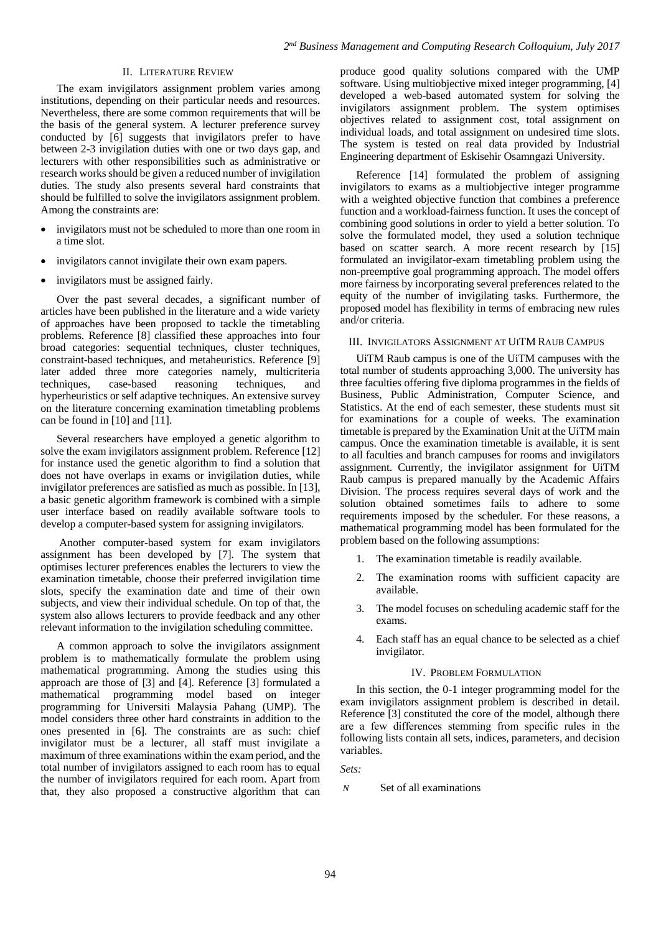## II. LITERATURE REVIEW

The exam invigilators assignment problem varies among institutions, depending on their particular needs and resources. Nevertheless, there are some common requirements that will be the basis of the general system. A lecturer preference survey conducted by [6] suggests that invigilators prefer to have between 2-3 invigilation duties with one or two days gap, and lecturers with other responsibilities such as administrative or research works should be given a reduced number of invigilation duties. The study also presents several hard constraints that should be fulfilled to solve the invigilators assignment problem. Among the constraints are:

- invigilators must not be scheduled to more than one room in a time slot.
- invigilators cannot invigilate their own exam papers.
- invigilators must be assigned fairly.

Over the past several decades, a significant number of articles have been published in the literature and a wide variety of approaches have been proposed to tackle the timetabling problems. Reference [8] classified these approaches into four broad categories: sequential techniques, cluster techniques, constraint-based techniques, and metaheuristics. Reference [9] later added three more categories namely, multicriteria techniques, case-based reasoning techniques, and hyperheuristics or self adaptive techniques. An extensive survey on the literature concerning examination timetabling problems can be found in [10] and [11].

Several researchers have employed a genetic algorithm to solve the exam invigilators assignment problem. Reference [12] for instance used the genetic algorithm to find a solution that does not have overlaps in exams or invigilation duties, while invigilator preferences are satisfied as much as possible. In [13], a basic genetic algorithm framework is combined with a simple user interface based on readily available software tools to develop a computer-based system for assigning invigilators.

Another computer-based system for exam invigilators assignment has been developed by [7]. The system that optimises lecturer preferences enables the lecturers to view the examination timetable, choose their preferred invigilation time slots, specify the examination date and time of their own subjects, and view their individual schedule. On top of that, the system also allows lecturers to provide feedback and any other relevant information to the invigilation scheduling committee.

A common approach to solve the invigilators assignment problem is to mathematically formulate the problem using mathematical programming. Among the studies using this approach are those of [3] and [4]. Reference [3] formulated a mathematical programming model based on integer programming for Universiti Malaysia Pahang (UMP). The model considers three other hard constraints in addition to the ones presented in [6]. The constraints are as such: chief invigilator must be a lecturer, all staff must invigilate a maximum of three examinations within the exam period, and the total number of invigilators assigned to each room has to equal the number of invigilators required for each room. Apart from that, they also proposed a constructive algorithm that can

produce good quality solutions compared with the UMP software. Using multiobjective mixed integer programming, [4] developed a web-based automated system for solving the invigilators assignment problem. The system optimises objectives related to assignment cost, total assignment on individual loads, and total assignment on undesired time slots. The system is tested on real data provided by Industrial Engineering department of Eskisehir Osamngazi University.

Reference [14] formulated the problem of assigning invigilators to exams as a multiobjective integer programme with a weighted objective function that combines a preference function and a workload-fairness function. It uses the concept of combining good solutions in order to yield a better solution. To solve the formulated model, they used a solution technique based on scatter search. A more recent research by  $\begin{bmatrix} 15 \end{bmatrix}$ formulated an invigilator-exam timetabling problem using the non-preemptive goal programming approach. The model offers more fairness by incorporating several preferences related to the equity of the number of invigilating tasks. Furthermore, the proposed model has flexibility in terms of embracing new rules and/or criteria.

III. INVIGILATORS ASSIGNMENT AT UITM RAUB CAMPUS

UiTM Raub campus is one of the UiTM campuses with the total number of students approaching 3,000. The university has three faculties offering five diploma programmes in the fields of Business, Public Administration, Computer Science, and Statistics. At the end of each semester, these students must sit for examinations for a couple of weeks. The examination timetable is prepared by the Examination Unit at the UiTM main campus. Once the examination timetable is available, it is sent to all faculties and branch campuses for rooms and invigilators assignment. Currently, the invigilator assignment for UiTM Raub campus is prepared manually by the Academic Affairs Division. The process requires several days of work and the solution obtained sometimes fails to adhere to some requirements imposed by the scheduler. For these reasons, a mathematical programming model has been formulated for the problem based on the following assumptions:

- 1. The examination timetable is readily available.
- 2. The examination rooms with sufficient capacity are available.
- 3. The model focuses on scheduling academic staff for the exams.
- 4. Each staff has an equal chance to be selected as a chief invigilator.

## IV. PROBLEM FORMULATION

In this section, the 0-1 integer programming model for the exam invigilators assignment problem is described in detail. Reference [3] constituted the core of the model, although there are a few differences stemming from specific rules in the following lists contain all sets, indices, parameters, and decision variables.

*Sets:*

*N* Set of all examinations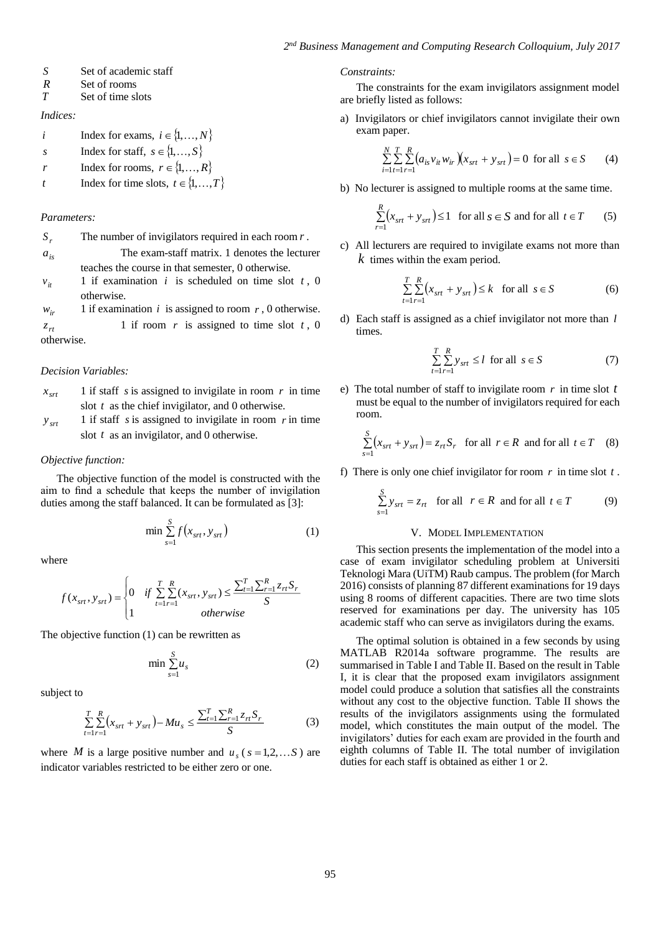- Set of academic staff
- *R* Set of rooms
- *T* Set of time slots

*Indices:*

- *i* Index for exams,  $i \in \{1, ..., N\}$
- *s* Index for staff,  $s \in \{1, \ldots, S\}$
- *r* Index for rooms,  $r \in \{1,...,R\}$
- *t* Index for time slots,  $t \in \{1,...,T\}$

#### *Parameters:*

| The number of invigilators required in each room $r$ .<br>$S_{r}$ |  |
|-------------------------------------------------------------------|--|
|-------------------------------------------------------------------|--|

*<sup>a</sup>is* The exam-staff matrix. 1 denotes the lecturer teaches the course in that semester, 0 otherwise.

 $v_{it}$ 1 if examination  $i$  is scheduled on time slot  $t$ , 0 otherwise.

*<sup>w</sup>ir* 1 if examination  $i$  is assigned to room  $r$ , 0 otherwise.

 $z_{rt}$ 1 if room  $r$  is assigned to time slot  $t$ , 0 otherwise.

## *Decision Variables:*

- $x_{\rm srt}$ 1 if staff  $s$  is assigned to invigilate in room  $r$  in time slot  $t$  as the chief invigilator, and 0 otherwise.
- $y_{\text{str}}$ 1 if staff  $s$  is assigned to invigilate in room  $r$  in time slot *t* as an invigilator, and 0 otherwise.

#### *Objective function:*

The objective function of the model is constructed with the aim to find a schedule that keeps the number of invigilation duties among the staff balanced. It can be formulated as [3]:

$$
\min \sum_{s=1}^{S} f(x_{srt}, y_{srt})
$$
 (1)

where

S = Set of academic staff  
\nSet of rooms  
\n*R* Set of rooms  
\nSet of times slots  
\n
$$
Index for exams, i ∈ {1,..., N}
$$
\n
$$
index for exams, i ∈ {1,..., S}
$$
\n
$$
Index for forms, r ∈ {1,..., R}
$$
\n
$$
Index for times lots, t ∈ {1,..., R}
$$
\n
$$
index for times lots, t ∈ {1,..., T}
$$
\n
$$
Parameters:
$$
\n
$$
S, \text{ The number of invigilators required in each room } r.
$$
\n
$$
R = \text{mean-state matrix. 1 denotes the letterer teaches the course in that semester, 0 otherwise. 1 if examination i is scheduled on time slot t, 0 otherwise. 1 if examination i is assigned to room r, 0 otherwise. 1 if from r is assigned to time slot t, 0 otherwise.\n
$$
x_{sr} = 1 \text{ if staff } s \text{ is assigned to invigilate in room } r \text{ in time slot } t \text{ as the chief invigilator, and 0 otherwise. 1 if staff s is assigned to invigilate in room } r \text{ in time slot } t \text{ as an invigilator, and 0 otherwise. 2 by 
$$
y_{sr} = 1 \text{ if staff } s \text{ is assigned to invigilate in room } r \text{ in time slot } t \text{ as an invigilator, and 0 otherwise. 2 by 
$$
y_{sr} = 1 \text{ if staff } s \text{ is assigned to invigilate in room } r \text{ in time slot } t \text{ as an invigilator, and 0 otherwise. 3 by 
$$
y_{sr} = 1 \text{ if } s = 1 \text{ if } s = 1 \text{ if } s = 1 \text{ if } s = 1 \text{ if } s = 1 \text{ if } s = 1 \text{ if } s = 1 \text{ if } s = 1 \text{ if } s = 1 \text{ if } s = 1 \text{ if } s = 1 \text{ if } s = 1 \text{ if } s = 1 \text{ if } s = 1 \text{ if } s = 1 \text{ if } s = 1 \text{ if } s = 1 \text{ if } s = 1 \text{ if } s = 1 \text{ if } s = 1 \text{ if } s = 1 \text{ if } s = 1 \text{ if } s = 1 \text{ if } s = 1 \text{ if } s = 1 \text{ if } s = 1 \text{ if } s = 1 \text{ if } s = 1 \text{ if } s = 1 \text{ if } s = 1 \text
$$
$$
$$
$$
$$

The objective function (1) can be rewritten as

$$
\min \sum_{s=1}^{S} u_s \tag{2}
$$

subject to

$$
\sum_{t=1}^{T} \sum_{r=1}^{R} (x_{srt} + y_{srt}) - Mu_s \le \frac{\sum_{t=1}^{T} \sum_{r=1}^{R} z_{rt} S_r}{S}
$$
(3)

where *M* is a large positive number and  $u_s$  ( $s = 1, 2, \dots S$ ) are indicator variables restricted to be either zero or one.

#### *Constraints:*

The constraints for the exam invigilators assignment model are briefly listed as follows:

a) Invigilators or chief invigilators cannot invigilate their own exam paper.

$$
\sum_{i=1}^{N} \sum_{t=1}^{T} \sum_{r=1}^{R} (a_{is} v_{it} w_{ir}) (x_{srt} + y_{srt}) = 0 \text{ for all } s \in S \qquad (4)
$$

b) No lecturer is assigned to multiple rooms at the same time.

$$
\sum_{r=1}^{R} (x_{srt} + y_{srt}) \le 1 \quad \text{for all } s \in S \text{ and for all } t \in T \tag{5}
$$

c) All lecturers are required to invigilate exams not more than *k* times within the exam period.

$$
\sum_{t=1}^{T} \sum_{r=1}^{R} (x_{srt} + y_{srt}) \le k \quad \text{for all } s \in S
$$
 (6)

d) Each staff is assigned as a chief invigilator not more than *l* times.

$$
\sum_{t=1}^{T} \sum_{r=1}^{R} y_{srt} \le l \text{ for all } s \in S
$$
 (7)

e) The total number of staff to invigilate room  $r$  in time slot  $t$ must be equal to the number of invigilators required for each room.

$$
\sum_{s=1}^{S} (x_{srt} + y_{srt}) = z_{rt} S_r \text{ for all } r \in R \text{ and for all } t \in T \quad (8)
$$

f) There is only one chief invigilator for room  $r$  in time slot  $t$ .

$$
\sum_{s=1}^{S} y_{srt} = z_{rt} \quad \text{for all} \quad r \in R \text{ and for all } t \in T \tag{9}
$$

### V. MODEL IMPLEMENTATION

This section presents the implementation of the model into a case of exam invigilator scheduling problem at Universiti Teknologi Mara (UiTM) Raub campus. The problem (for March 2016) consists of planning 87 different examinations for 19 days using 8 rooms of different capacities. There are two time slots reserved for examinations per day. The university has 105 academic staff who can serve as invigilators during the exams.

The optimal solution is obtained in a few seconds by using MATLAB R2014a software programme. The results are summarised in Table I and Table II. Based on the result in Table I, it is clear that the proposed exam invigilators assignment model could produce a solution that satisfies all the constraints without any cost to the objective function. Table II shows the results of the invigilators assignments using the formulated model, which constitutes the main output of the model. The invigilators' duties for each exam are provided in the fourth and eighth columns of Table II. The total number of invigilation duties for each staff is obtained as either 1 or 2.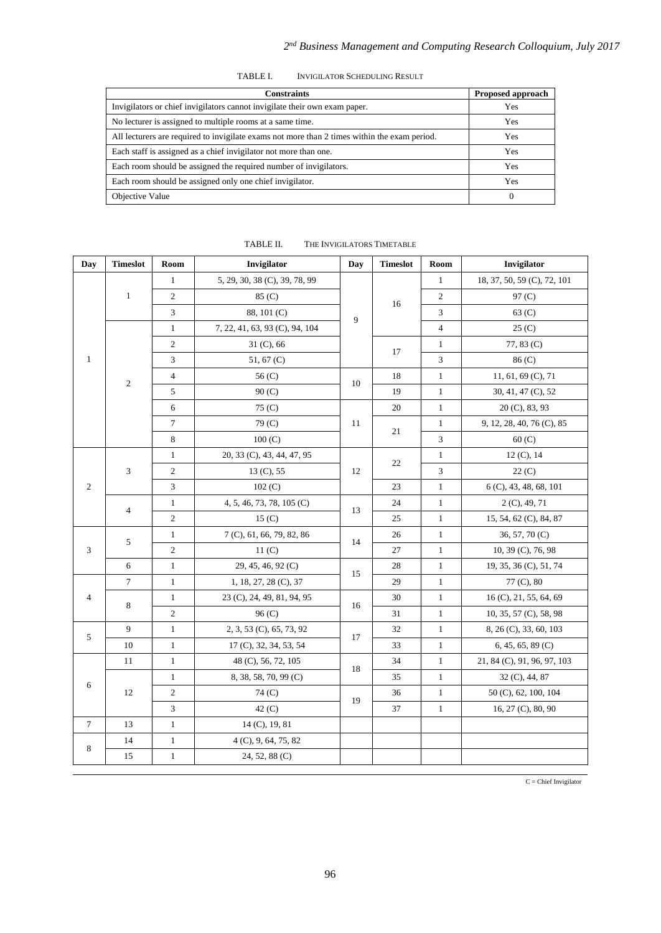| TABLE I. | <b>INVIGILATOR SCHEDULING RESULT</b> |
|----------|--------------------------------------|
|          |                                      |

| <b>Constraints</b>                                                                           | Proposed approach |
|----------------------------------------------------------------------------------------------|-------------------|
| Invigilators or chief invigilators cannot invigilate their own exam paper.                   | Yes               |
| No lecturer is assigned to multiple rooms at a same time.                                    | Yes               |
| All lecturers are required to invigilate exams not more than 2 times within the exam period. | <b>Yes</b>        |
| Each staff is assigned as a chief invigilator not more than one.                             | Yes               |
| Each room should be assigned the required number of invigilators.                            | <b>Yes</b>        |
| Each room should be assigned only one chief invigilator.                                     | <b>Yes</b>        |
| Objective Value                                                                              | 0                 |

| Day            | <b>Timeslot</b> | Room           | Invigilator                    | Day                | <b>Timeslot</b> | Room           | Invigilator                 |
|----------------|-----------------|----------------|--------------------------------|--------------------|-----------------|----------------|-----------------------------|
|                | $\mathbf{1}$    | $\mathbf{1}$   | 5, 29, 30, 38 (C), 39, 78, 99  |                    |                 | $\mathbf{1}$   | 18, 37, 50, 59 (C), 72, 101 |
|                |                 | $\overline{c}$ | 85 (C)                         |                    |                 | $\overline{c}$ | 97 <sub>(C)</sub>           |
|                |                 | 3              | 88, 101 (C)                    | 9                  | 16              | 3              | 63 <sub>(C)</sub>           |
|                | $\sqrt{2}$      | $\mathbf{1}$   | 7, 22, 41, 63, 93 (C), 94, 104 |                    |                 | 4              | 25(C)                       |
|                |                 | $\overline{c}$ | 31 (C), 66                     |                    | 17              | $\mathbf{1}$   | 77, 83 (C)                  |
| $\mathbf{1}$   |                 | 3              | 51, 67 $(C)$                   |                    |                 | 3              | 86 (C)                      |
|                |                 | $\overline{4}$ | 56 (C)                         | 10                 | 18              | $\mathbf{1}$   | 11, 61, 69 $(C)$ , 71       |
|                |                 | 5              | 90(C)                          |                    | 19              | $\mathbf{1}$   | 30, 41, 47 (C), 52          |
|                |                 | 6              | 75 (C)                         |                    | 20              | $\mathbf{1}$   | 20 (C), 83, 93              |
|                |                 | 7              | 79 (C)                         | 11                 | 21              | $\mathbf{1}$   | 9, 12, 28, 40, 76 (C), 85   |
|                |                 | 8              | 100(C)                         |                    |                 | 3              | 60(C)                       |
|                | 3               | $\mathbf{1}$   | 20, 33 (C), 43, 44, 47, 95     |                    |                 | $\mathbf{1}$   | 12 (C), 14                  |
|                |                 | $\overline{c}$ | 13 (C), 55                     | 12                 | 22              | 3              | 22(C)                       |
| $\overline{2}$ |                 | 3              | 102 (C)                        |                    | 23              | $\mathbf{1}$   | 6 (C), 43, 48, 68, 101      |
|                | $\overline{4}$  | $\mathbf{1}$   | 4, 5, 46, 73, 78, 105 (C)      |                    | 24              | $\mathbf{1}$   | 2 (C), 49, 71               |
|                |                 | $\overline{c}$ | 15(C)                          | 13                 | 25              | $\mathbf{1}$   | 15, 54, 62 (C), 84, 87      |
| 3              | 5               | $\mathbf{1}$   | 7 (C), 61, 66, 79, 82, 86      |                    | 26              | $\mathbf{1}$   | $36, 57, 70$ (C)            |
|                |                 | $\overline{c}$ | 11 <sub>(C)</sub>              | 14                 | 27              | $\mathbf{1}$   | 10, 39 (C), 76, 98          |
|                |                 | 6              | $\mathbf{1}$                   | 29, 45, 46, 92 (C) | 15              | 28             | $\mathbf{1}$                |
| 4              | $\tau$          | $\mathbf{1}$   | 1, 18, 27, 28 (C), 37          |                    | 29              | $\mathbf{1}$   | 77 (C), 80                  |
|                | 8               | $\mathbf{1}$   | 23 (C), 24, 49, 81, 94, 95     | 16                 | 30              | $\,1$          | 16 (C), 21, 55, 64, 69      |
|                |                 | $\overline{c}$ | 96 (C)                         |                    | 31              | $\mathbf{1}$   | 10, 35, 57 (C), 58, 98      |
| 5              | 9               | $1\,$          | 2, 3, 53 (C), 65, 73, 92       | 17                 | 32              | $\mathbf{1}$   | 8, 26 (C), 33, 60, 103      |
|                | 10              | $\mathbf{1}$   | 17 (C), 32, 34, 53, 54         |                    | 33              | $\mathbf{1}$   | $6, 45, 65, 89$ (C)         |
|                | 11              | $\mathbf{1}$   | 48 (C), 56, 72, 105            | 18                 | 34              | $\mathbf{1}$   | 21, 84 (C), 91, 96, 97, 103 |
| 6              | 12              | $\mathbf{1}$   | 8, 38, 58, 70, 99 (C)          |                    | 35              | $\mathbf{1}$   | 32 (C), 44, 87              |
|                |                 | $\overline{c}$ | 74 (C)                         | 19                 | 36              | $\mathbf{1}$   | 50 (C), 62, 100, 104        |
|                |                 | 3              | 42(C)                          |                    | 37              | $\mathbf{1}$   | 16, 27 (C), 80, 90          |
| $\tau$         | 13              | $\mathbf{1}$   | 14 (C), 19, 81                 |                    |                 |                |                             |
| 8              | 14              | $\mathbf{1}$   | 4 (C), 9, 64, 75, 82           |                    |                 |                |                             |
|                | 15              | $\mathbf{1}$   | 24, 52, 88 (C)                 |                    |                 |                |                             |

TABLE II. THE INVIGILATORS TIMETABLE

 $C =$ Chief Invigilator